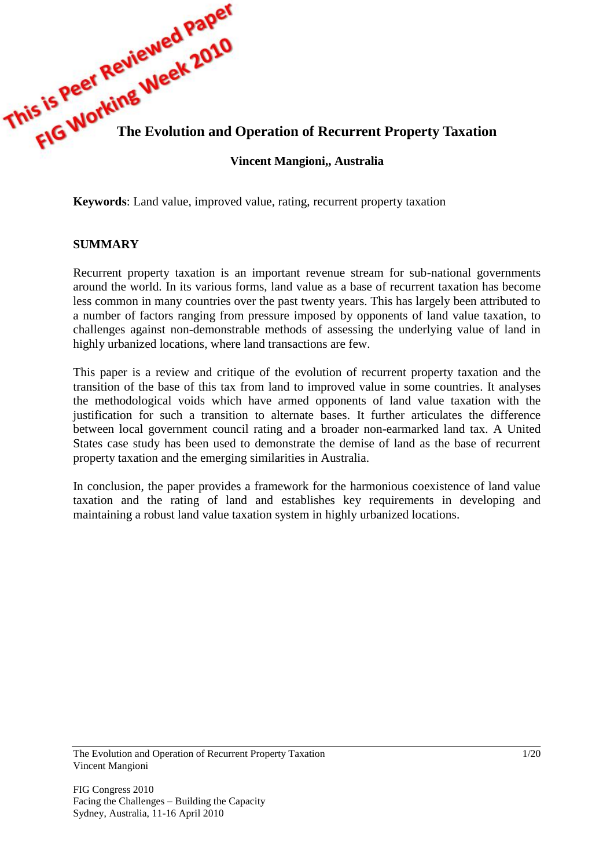

### **Vincent Mangioni,, Australia**

**Keywords**: Land value, improved value, rating, recurrent property taxation

#### **SUMMARY**

Recurrent property taxation is an important revenue stream for sub-national governments around the world. In its various forms, land value as a base of recurrent taxation has become less common in many countries over the past twenty years. This has largely been attributed to a number of factors ranging from pressure imposed by opponents of land value taxation, to challenges against non-demonstrable methods of assessing the underlying value of land in highly urbanized locations, where land transactions are few.

This paper is a review and critique of the evolution of recurrent property taxation and the transition of the base of this tax from land to improved value in some countries. It analyses the methodological voids which have armed opponents of land value taxation with the justification for such a transition to alternate bases. It further articulates the difference between local government council rating and a broader non-earmarked land tax. A United States case study has been used to demonstrate the demise of land as the base of recurrent property taxation and the emerging similarities in Australia.

In conclusion, the paper provides a framework for the harmonious coexistence of land value taxation and the rating of land and establishes key requirements in developing and maintaining a robust land value taxation system in highly urbanized locations.

The Evolution and Operation of Recurrent Property Taxation Vincent Mangioni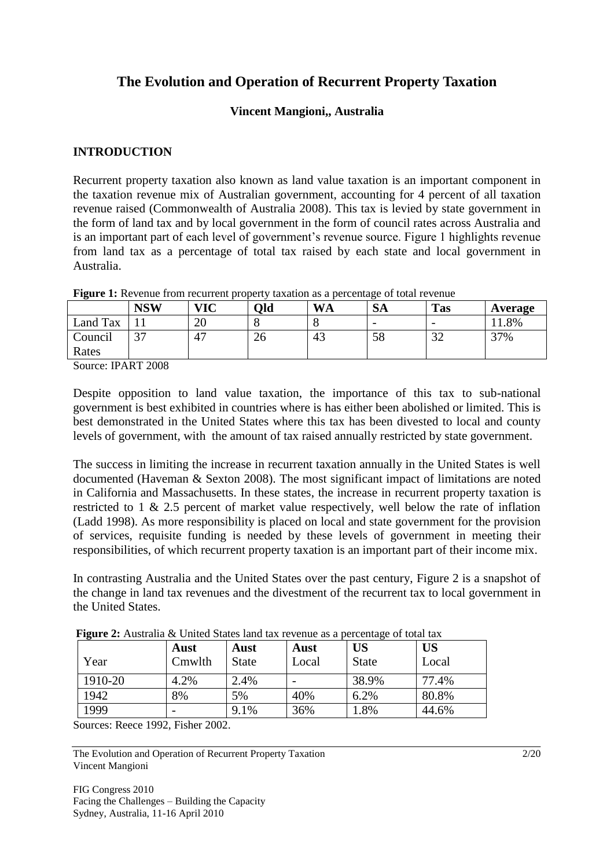# **The Evolution and Operation of Recurrent Property Taxation**

# **Vincent Mangioni,, Australia**

#### **INTRODUCTION**

Recurrent property taxation also known as land value taxation is an important component in the taxation revenue mix of Australian government, accounting for 4 percent of all taxation revenue raised (Commonwealth of Australia 2008). This tax is levied by state government in the form of land tax and by local government in the form of council rates across Australia and is an important part of each level of government's revenue source. Figure 1 highlights revenue from land tax as a percentage of total tax raised by each state and local government in Australia.

|                              | <b>NSW</b>         | <b>VIC</b> | Old | <b>WA</b> | <b>SA</b>                | <b>Tas</b>    | Average |
|------------------------------|--------------------|------------|-----|-----------|--------------------------|---------------|---------|
| Land Tax                     |                    | 20         |     |           | $\overline{\phantom{0}}$ |               | .8%     |
| Council                      | $\sim$ $\sim$<br>ັ | 47         | ۷O  | 43        | 58                       | $\sim$<br>ے ر | 37%     |
| Rates                        |                    |            |     |           |                          |               |         |
| $TD$ in $TD$ 0.000<br>$\sim$ |                    |            |     |           |                          |               |         |

**Figure 1:** Revenue from recurrent property taxation as a percentage of total revenue

Source: IPART 2008

Despite opposition to land value taxation, the importance of this tax to sub-national government is best exhibited in countries where is has either been abolished or limited. This is best demonstrated in the United States where this tax has been divested to local and county levels of government, with the amount of tax raised annually restricted by state government.

The success in limiting the increase in recurrent taxation annually in the United States is well documented (Haveman & Sexton 2008). The most significant impact of limitations are noted in California and Massachusetts. In these states, the increase in recurrent property taxation is restricted to 1 & 2.5 percent of market value respectively, well below the rate of inflation (Ladd 1998). As more responsibility is placed on local and state government for the provision of services, requisite funding is needed by these levels of government in meeting their responsibilities, of which recurrent property taxation is an important part of their income mix.

In contrasting Australia and the United States over the past century, Figure 2 is a snapshot of the change in land tax revenues and the divestment of the recurrent tax to local government in the United States.

| Year    | Aust<br>Cmwlth | Aust<br><b>State</b> | Aust<br>Local | <b>US</b><br><b>State</b> | <b>US</b><br>Local |
|---------|----------------|----------------------|---------------|---------------------------|--------------------|
| 1910-20 | 4.2%           | 2.4%                 |               | 38.9%                     | 77.4%              |
| 1942    | 8%             | 5%                   | 40%           | 6.2%                      | 80.8%              |
| 1999    |                | 9.1%                 | 36%           | 1.8%                      | 44.6%              |

**Figure 2:** Australia & United States land tax revenue as a percentage of total tax

Sources: Reece 1992, Fisher 2002.

The Evolution and Operation of Recurrent Property Taxation Vincent Mangioni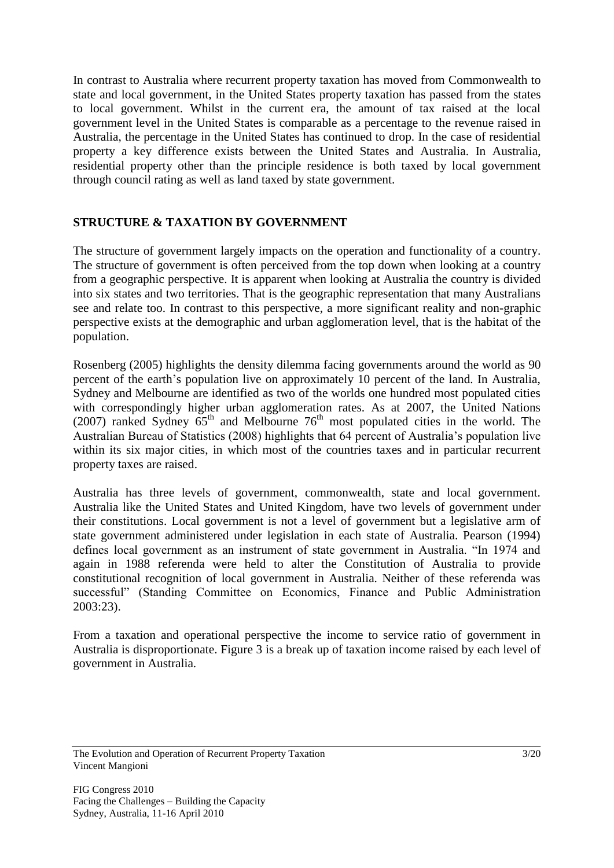In contrast to Australia where recurrent property taxation has moved from Commonwealth to state and local government, in the United States property taxation has passed from the states to local government. Whilst in the current era, the amount of tax raised at the local government level in the United States is comparable as a percentage to the revenue raised in Australia, the percentage in the United States has continued to drop. In the case of residential property a key difference exists between the United States and Australia. In Australia, residential property other than the principle residence is both taxed by local government through council rating as well as land taxed by state government.

# **STRUCTURE & TAXATION BY GOVERNMENT**

The structure of government largely impacts on the operation and functionality of a country. The structure of government is often perceived from the top down when looking at a country from a geographic perspective. It is apparent when looking at Australia the country is divided into six states and two territories. That is the geographic representation that many Australians see and relate too. In contrast to this perspective, a more significant reality and non-graphic perspective exists at the demographic and urban agglomeration level, that is the habitat of the population.

Rosenberg (2005) highlights the density dilemma facing governments around the world as 90 percent of the earth"s population live on approximately 10 percent of the land. In Australia, Sydney and Melbourne are identified as two of the worlds one hundred most populated cities with correspondingly higher urban agglomeration rates. As at 2007, the United Nations  $(2007)$  ranked Sydney  $65<sup>th</sup>$  and Melbourne  $76<sup>th</sup>$  most populated cities in the world. The Australian Bureau of Statistics (2008) highlights that 64 percent of Australia"s population live within its six major cities, in which most of the countries taxes and in particular recurrent property taxes are raised.

Australia has three levels of government, commonwealth, state and local government. Australia like the United States and United Kingdom, have two levels of government under their constitutions. Local government is not a level of government but a legislative arm of state government administered under legislation in each state of Australia. Pearson (1994) defines local government as an instrument of state government in Australia. "In 1974 and again in 1988 referenda were held to alter the Constitution of Australia to provide constitutional recognition of local government in Australia. Neither of these referenda was successful" (Standing Committee on Economics, Finance and Public Administration 2003:23).

From a taxation and operational perspective the income to service ratio of government in Australia is disproportionate. Figure 3 is a break up of taxation income raised by each level of government in Australia.

The Evolution and Operation of Recurrent Property Taxation Vincent Mangioni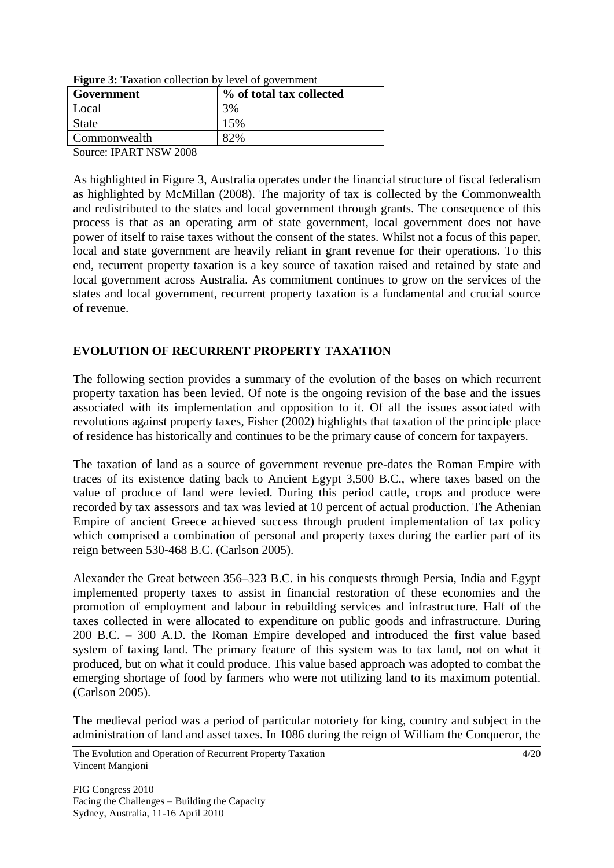| $\mathbf{F}$ is a readily concentrate by the concentration |                          |  |  |  |
|------------------------------------------------------------|--------------------------|--|--|--|
| Government                                                 | % of total tax collected |  |  |  |
| Local                                                      | 3%                       |  |  |  |
| <b>State</b>                                               | 15%                      |  |  |  |
| Commonwealth                                               | 82%                      |  |  |  |
| $\mathcal{R}_{\text{outco}}$ IDADT NEW 2008                |                          |  |  |  |

**Figure 3: Taxation collection by level of government** 

Source: IPART NSW 2008

As highlighted in Figure 3, Australia operates under the financial structure of fiscal federalism as highlighted by McMillan (2008). The majority of tax is collected by the Commonwealth and redistributed to the states and local government through grants. The consequence of this process is that as an operating arm of state government, local government does not have power of itself to raise taxes without the consent of the states. Whilst not a focus of this paper, local and state government are heavily reliant in grant revenue for their operations. To this end, recurrent property taxation is a key source of taxation raised and retained by state and local government across Australia. As commitment continues to grow on the services of the states and local government, recurrent property taxation is a fundamental and crucial source of revenue.

# **EVOLUTION OF RECURRENT PROPERTY TAXATION**

The following section provides a summary of the evolution of the bases on which recurrent property taxation has been levied. Of note is the ongoing revision of the base and the issues associated with its implementation and opposition to it. Of all the issues associated with revolutions against property taxes, Fisher (2002) highlights that taxation of the principle place of residence has historically and continues to be the primary cause of concern for taxpayers.

The taxation of land as a source of government revenue pre-dates the Roman Empire with traces of its existence dating back to Ancient Egypt 3,500 B.C., where taxes based on the value of produce of land were levied. During this period cattle, crops and produce were recorded by tax assessors and tax was levied at 10 percent of actual production. The Athenian Empire of ancient Greece achieved success through prudent implementation of tax policy which comprised a combination of personal and property taxes during the earlier part of its reign between 530-468 B.C. (Carlson 2005).

Alexander the Great between 356–323 B.C. in his conquests through Persia, India and Egypt implemented property taxes to assist in financial restoration of these economies and the promotion of employment and labour in rebuilding services and infrastructure. Half of the taxes collected in were allocated to expenditure on public goods and infrastructure. During 200 B.C. – 300 A.D. the Roman Empire developed and introduced the first value based system of taxing land. The primary feature of this system was to tax land, not on what it produced, but on what it could produce. This value based approach was adopted to combat the emerging shortage of food by farmers who were not utilizing land to its maximum potential. (Carlson 2005).

The medieval period was a period of particular notoriety for king, country and subject in the administration of land and asset taxes. In 1086 during the reign of William the Conqueror, the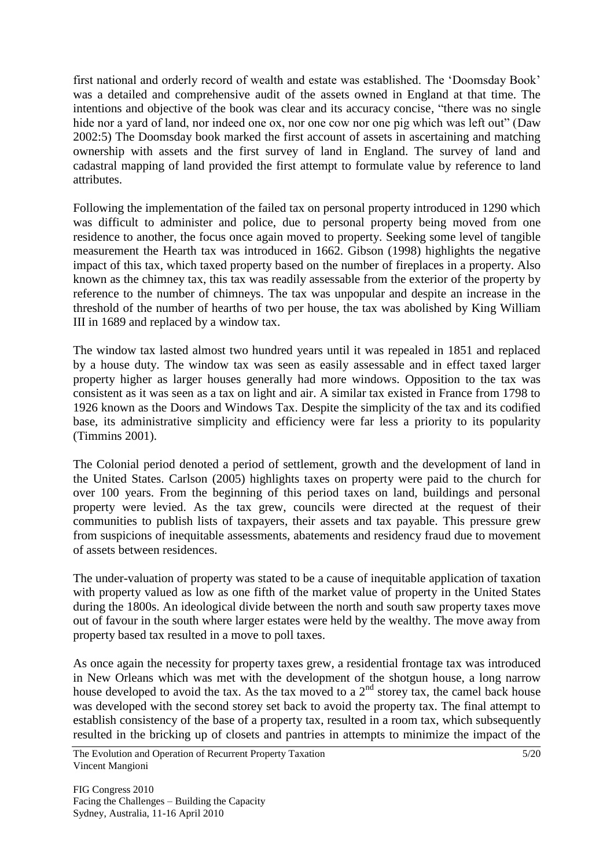first national and orderly record of wealth and estate was established. The "Doomsday Book" was a detailed and comprehensive audit of the assets owned in England at that time. The intentions and objective of the book was clear and its accuracy concise, "there was no single hide nor a yard of land, nor indeed one ox, nor one cow nor one pig which was left out" (Daw 2002:5) The Doomsday book marked the first account of assets in ascertaining and matching ownership with assets and the first survey of land in England. The survey of land and cadastral mapping of land provided the first attempt to formulate value by reference to land attributes.

Following the implementation of the failed tax on personal property introduced in 1290 which was difficult to administer and police, due to personal property being moved from one residence to another, the focus once again moved to property. Seeking some level of tangible measurement the Hearth tax was introduced in 1662. Gibson (1998) highlights the negative impact of this tax, which taxed property based on the number of fireplaces in a property. Also known as the chimney tax, this tax was readily assessable from the exterior of the property by reference to the number of chimneys. The tax was unpopular and despite an increase in the threshold of the number of hearths of two per house, the tax was abolished by King William III in 1689 and replaced by a window tax.

The window tax lasted almost two hundred years until it was repealed in 1851 and replaced by a house duty. The window tax was seen as easily assessable and in effect taxed larger property higher as larger houses generally had more windows. Opposition to the tax was consistent as it was seen as a tax on light and air. A similar tax existed in France from 1798 to 1926 known as the Doors and Windows Tax. Despite the simplicity of the tax and its codified base, its administrative simplicity and efficiency were far less a priority to its popularity (Timmins 2001).

The Colonial period denoted a period of settlement, growth and the development of land in the United States. Carlson (2005) highlights taxes on property were paid to the church for over 100 years. From the beginning of this period taxes on land, buildings and personal property were levied. As the tax grew, councils were directed at the request of their communities to publish lists of taxpayers, their assets and tax payable. This pressure grew from suspicions of inequitable assessments, abatements and residency fraud due to movement of assets between residences.

The under-valuation of property was stated to be a cause of inequitable application of taxation with property valued as low as one fifth of the market value of property in the United States during the 1800s. An ideological divide between the north and south saw property taxes move out of favour in the south where larger estates were held by the wealthy. The move away from property based tax resulted in a move to poll taxes.

As once again the necessity for property taxes grew, a residential frontage tax was introduced in New Orleans which was met with the development of the shotgun house, a long narrow house developed to avoid the tax. As the tax moved to a  $2<sup>nd</sup>$  storey tax, the camel back house was developed with the second storey set back to avoid the property tax. The final attempt to establish consistency of the base of a property tax, resulted in a room tax, which subsequently resulted in the bricking up of closets and pantries in attempts to minimize the impact of the

The Evolution and Operation of Recurrent Property Taxation Vincent Mangioni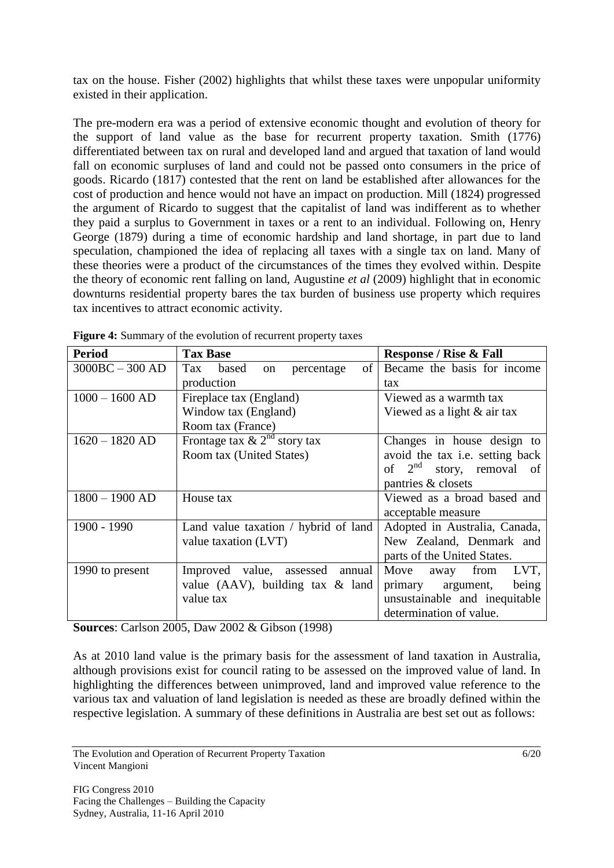tax on the house. Fisher (2002) highlights that whilst these taxes were unpopular uniformity existed in their application.

The pre-modern era was a period of extensive economic thought and evolution of theory for the support of land value as the base for recurrent property taxation. Smith (1776) differentiated between tax on rural and developed land and argued that taxation of land would fall on economic surpluses of land and could not be passed onto consumers in the price of goods. Ricardo (1817) contested that the rent on land be established after allowances for the cost of production and hence would not have an impact on production. Mill (1824) progressed the argument of Ricardo to suggest that the capitalist of land was indifferent as to whether they paid a surplus to Government in taxes or a rent to an individual. Following on, Henry George (1879) during a time of economic hardship and land shortage, in part due to land speculation, championed the idea of replacing all taxes with a single tax on land. Many of these theories were a product of the circumstances of the times they evolved within. Despite the theory of economic rent falling on land, Augustine *et al* (2009) highlight that in economic downturns residential property bares the tax burden of business use property which requires tax incentives to attract economic activity.

| <b>Period</b>     | <b>Tax Base</b>                             | <b>Response / Rise &amp; Fall</b>      |  |  |
|-------------------|---------------------------------------------|----------------------------------------|--|--|
| $3000BC - 300 AD$ | of  <br>based<br>Tax<br>percentage<br>on    | Became the basis for income            |  |  |
|                   | production                                  | tax                                    |  |  |
| $1000 - 1600$ AD  | Fireplace tax (England)                     | Viewed as a warmth tax                 |  |  |
|                   | Window tax (England)                        | Viewed as a light & air tax            |  |  |
|                   | Room tax (France)                           |                                        |  |  |
| $1620 - 1820$ AD  | Frontage tax $\&$ 2 <sup>nd</sup> story tax | Changes in house design to             |  |  |
|                   | Room tax (United States)                    | avoid the tax <i>i.e.</i> setting back |  |  |
|                   |                                             | of $2^{nd}$<br>story, removal of       |  |  |
|                   |                                             | pantries & closets                     |  |  |
| $1800 - 1900$ AD  | House tax                                   | Viewed as a broad based and            |  |  |
|                   |                                             | acceptable measure                     |  |  |
| 1900 - 1990       | Land value taxation / hybrid of land        | Adopted in Australia, Canada,          |  |  |
|                   | value taxation (LVT)                        | New Zealand, Denmark and               |  |  |
|                   |                                             | parts of the United States.            |  |  |
| 1990 to present   | value, assessed<br>Improved<br>annual       | from<br>Move<br>LVT,<br>away           |  |  |
|                   | value $(AAV)$ , building tax $\&$ land      | being<br>primary<br>argument,          |  |  |
|                   | value tax                                   | unsustainable and inequitable          |  |  |
|                   |                                             | determination of value.                |  |  |

**Figure 4:** Summary of the evolution of recurrent property taxes

**Sources**: Carlson 2005, Daw 2002 & Gibson (1998)

As at 2010 land value is the primary basis for the assessment of land taxation in Australia, although provisions exist for council rating to be assessed on the improved value of land. In highlighting the differences between unimproved, land and improved value reference to the various tax and valuation of land legislation is needed as these are broadly defined within the respective legislation. A summary of these definitions in Australia are best set out as follows:

The Evolution and Operation of Recurrent Property Taxation Vincent Mangioni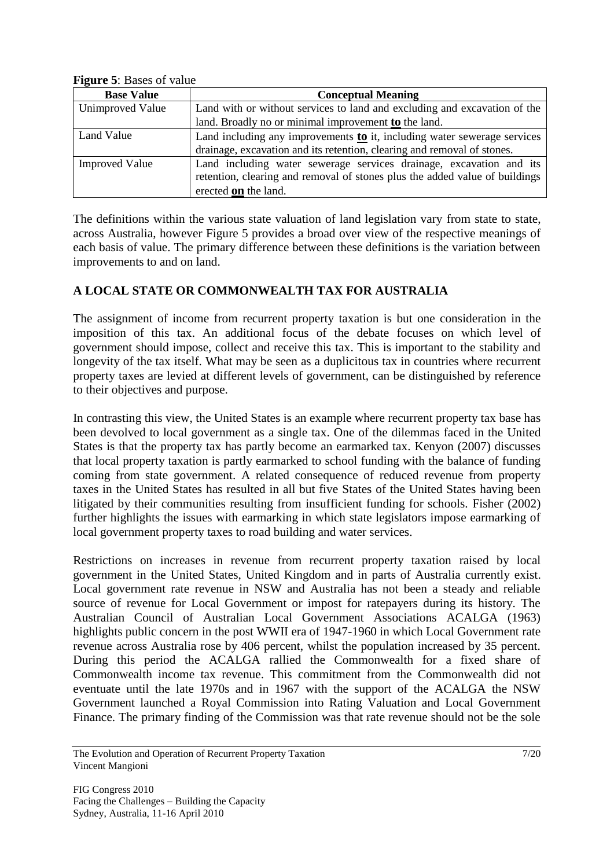| <b>Base Value</b>     | <b>Conceptual Meaning</b>                                                                                                                                                  |
|-----------------------|----------------------------------------------------------------------------------------------------------------------------------------------------------------------------|
| Unimproved Value      | Land with or without services to land and excluding and excavation of the                                                                                                  |
|                       | land. Broadly no or minimal improvement to the land.                                                                                                                       |
| Land Value            | Land including any improvements $\mathbf{to}$ it, including water sewerage services                                                                                        |
|                       | drainage, excavation and its retention, clearing and removal of stones.                                                                                                    |
| <b>Improved Value</b> | Land including water sewerage services drainage, excavation and its<br>retention, clearing and removal of stones plus the added value of buildings<br>erected on the land. |

**Figure 5**: Bases of value

The definitions within the various state valuation of land legislation vary from state to state, across Australia, however Figure 5 provides a broad over view of the respective meanings of each basis of value. The primary difference between these definitions is the variation between improvements to and on land.

# **A LOCAL STATE OR COMMONWEALTH TAX FOR AUSTRALIA**

The assignment of income from recurrent property taxation is but one consideration in the imposition of this tax. An additional focus of the debate focuses on which level of government should impose, collect and receive this tax. This is important to the stability and longevity of the tax itself. What may be seen as a duplicitous tax in countries where recurrent property taxes are levied at different levels of government, can be distinguished by reference to their objectives and purpose.

In contrasting this view, the United States is an example where recurrent property tax base has been devolved to local government as a single tax. One of the dilemmas faced in the United States is that the property tax has partly become an earmarked tax. Kenyon (2007) discusses that local property taxation is partly earmarked to school funding with the balance of funding coming from state government. A related consequence of reduced revenue from property taxes in the United States has resulted in all but five States of the United States having been litigated by their communities resulting from insufficient funding for schools. Fisher (2002) further highlights the issues with earmarking in which state legislators impose earmarking of local government property taxes to road building and water services.

Restrictions on increases in revenue from recurrent property taxation raised by local government in the United States, United Kingdom and in parts of Australia currently exist. Local government rate revenue in NSW and Australia has not been a steady and reliable source of revenue for Local Government or impost for ratepayers during its history. The Australian Council of Australian Local Government Associations ACALGA (1963) highlights public concern in the post WWII era of 1947-1960 in which Local Government rate revenue across Australia rose by 406 percent, whilst the population increased by 35 percent. During this period the ACALGA rallied the Commonwealth for a fixed share of Commonwealth income tax revenue. This commitment from the Commonwealth did not eventuate until the late 1970s and in 1967 with the support of the ACALGA the NSW Government launched a Royal Commission into Rating Valuation and Local Government Finance. The primary finding of the Commission was that rate revenue should not be the sole

The Evolution and Operation of Recurrent Property Taxation Vincent Mangioni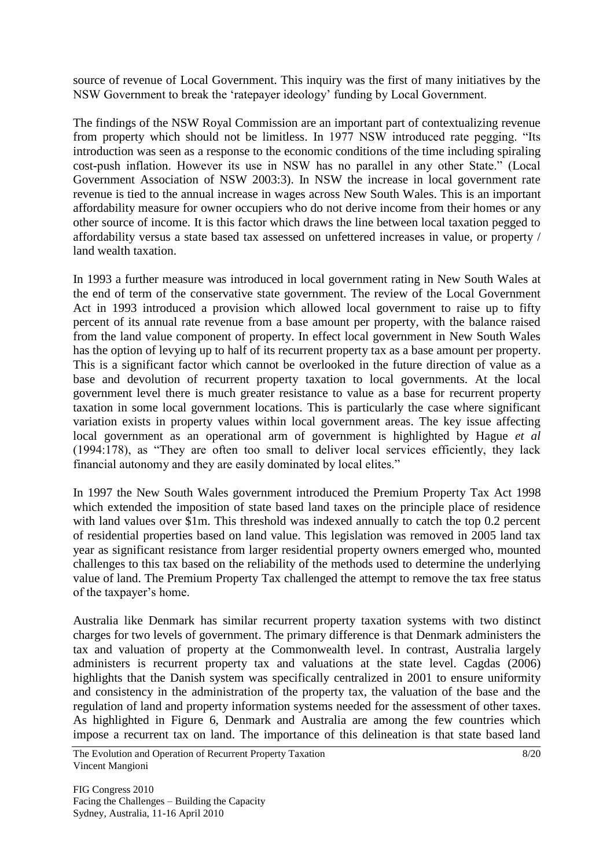source of revenue of Local Government. This inquiry was the first of many initiatives by the NSW Government to break the "ratepayer ideology" funding by Local Government.

The findings of the NSW Royal Commission are an important part of contextualizing revenue from property which should not be limitless. In 1977 NSW introduced rate pegging. "Its introduction was seen as a response to the economic conditions of the time including spiraling cost-push inflation. However its use in NSW has no parallel in any other State." (Local Government Association of NSW 2003:3). In NSW the increase in local government rate revenue is tied to the annual increase in wages across New South Wales. This is an important affordability measure for owner occupiers who do not derive income from their homes or any other source of income. It is this factor which draws the line between local taxation pegged to affordability versus a state based tax assessed on unfettered increases in value, or property / land wealth taxation.

In 1993 a further measure was introduced in local government rating in New South Wales at the end of term of the conservative state government. The review of the Local Government Act in 1993 introduced a provision which allowed local government to raise up to fifty percent of its annual rate revenue from a base amount per property, with the balance raised from the land value component of property. In effect local government in New South Wales has the option of levying up to half of its recurrent property tax as a base amount per property. This is a significant factor which cannot be overlooked in the future direction of value as a base and devolution of recurrent property taxation to local governments. At the local government level there is much greater resistance to value as a base for recurrent property taxation in some local government locations. This is particularly the case where significant variation exists in property values within local government areas. The key issue affecting local government as an operational arm of government is highlighted by Hague *et al* (1994:178), as "They are often too small to deliver local services efficiently, they lack financial autonomy and they are easily dominated by local elites."

In 1997 the New South Wales government introduced the Premium Property Tax Act 1998 which extended the imposition of state based land taxes on the principle place of residence with land values over \$1m. This threshold was indexed annually to catch the top 0.2 percent of residential properties based on land value. This legislation was removed in 2005 land tax year as significant resistance from larger residential property owners emerged who, mounted challenges to this tax based on the reliability of the methods used to determine the underlying value of land. The Premium Property Tax challenged the attempt to remove the tax free status of the taxpayer"s home.

Australia like Denmark has similar recurrent property taxation systems with two distinct charges for two levels of government. The primary difference is that Denmark administers the tax and valuation of property at the Commonwealth level. In contrast, Australia largely administers is recurrent property tax and valuations at the state level. Cagdas (2006) highlights that the Danish system was specifically centralized in 2001 to ensure uniformity and consistency in the administration of the property tax, the valuation of the base and the regulation of land and property information systems needed for the assessment of other taxes. As highlighted in Figure 6, Denmark and Australia are among the few countries which impose a recurrent tax on land. The importance of this delineation is that state based land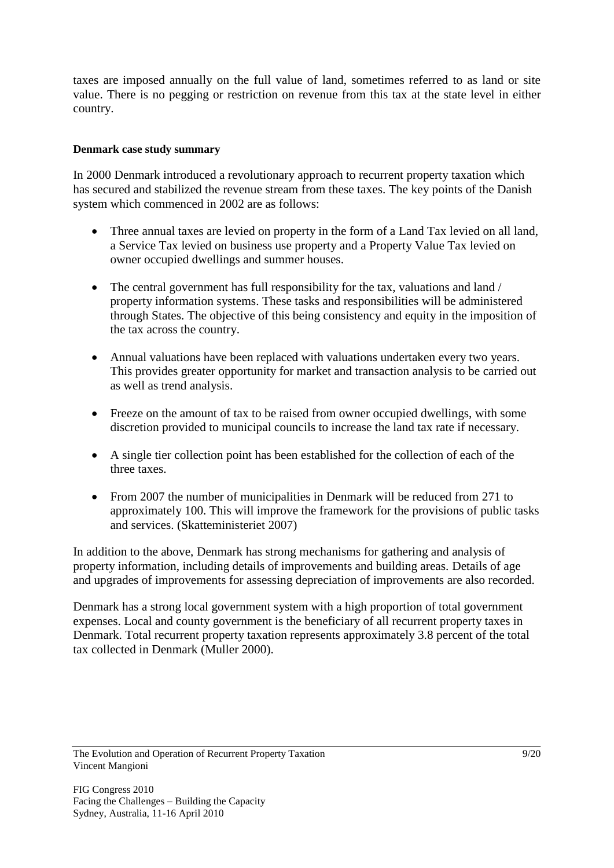taxes are imposed annually on the full value of land, sometimes referred to as land or site value. There is no pegging or restriction on revenue from this tax at the state level in either country.

#### **Denmark case study summary**

In 2000 Denmark introduced a revolutionary approach to recurrent property taxation which has secured and stabilized the revenue stream from these taxes. The key points of the Danish system which commenced in 2002 are as follows:

- Three annual taxes are levied on property in the form of a Land Tax levied on all land, a Service Tax levied on business use property and a Property Value Tax levied on owner occupied dwellings and summer houses.
- The central government has full responsibility for the tax, valuations and land / property information systems. These tasks and responsibilities will be administered through States. The objective of this being consistency and equity in the imposition of the tax across the country.
- Annual valuations have been replaced with valuations undertaken every two years. This provides greater opportunity for market and transaction analysis to be carried out as well as trend analysis.
- Freeze on the amount of tax to be raised from owner occupied dwellings, with some discretion provided to municipal councils to increase the land tax rate if necessary.
- A single tier collection point has been established for the collection of each of the three taxes.
- From 2007 the number of municipalities in Denmark will be reduced from 271 to approximately 100. This will improve the framework for the provisions of public tasks and services. (Skatteministeriet 2007)

In addition to the above, Denmark has strong mechanisms for gathering and analysis of property information, including details of improvements and building areas. Details of age and upgrades of improvements for assessing depreciation of improvements are also recorded.

Denmark has a strong local government system with a high proportion of total government expenses. Local and county government is the beneficiary of all recurrent property taxes in Denmark. Total recurrent property taxation represents approximately 3.8 percent of the total tax collected in Denmark (Muller 2000).

The Evolution and Operation of Recurrent Property Taxation Vincent Mangioni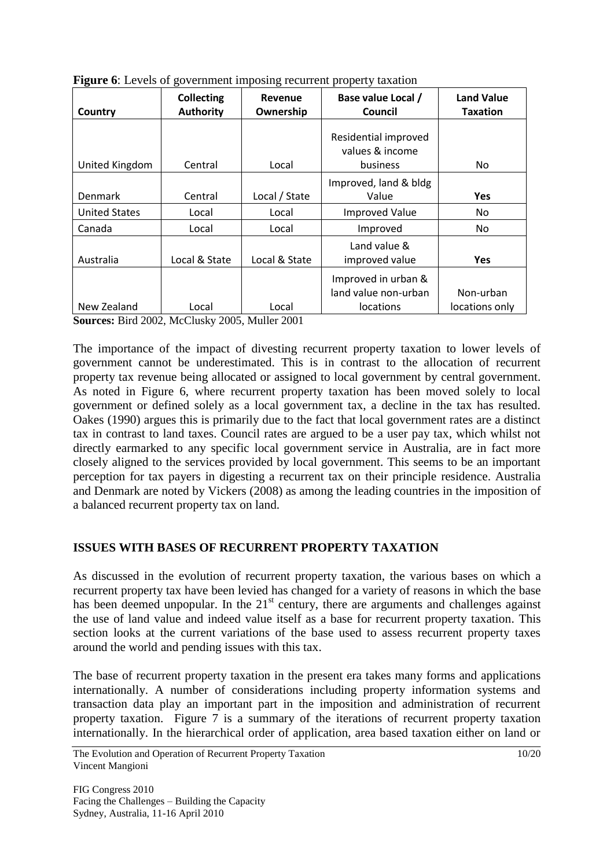| Country              | <b>Collecting</b><br><b>Authority</b> | Revenue<br>Ownership | Base value Local /<br>Council                       | <b>Land Value</b><br><b>Taxation</b> |
|----------------------|---------------------------------------|----------------------|-----------------------------------------------------|--------------------------------------|
| United Kingdom       | Central                               | Local                | Residential improved<br>values & income<br>business | No.                                  |
| Denmark              | Central                               | Local / State        | Improved, land & bldg<br>Value                      | Yes                                  |
| <b>United States</b> | Local                                 | Local                | <b>Improved Value</b>                               | No.                                  |
| Canada               | Local                                 | Local                | Improved                                            | No.                                  |
| Australia            | Local & State                         | Local & State        | Land value &<br>improved value                      | Yes                                  |
| New Zealand          |                                       |                      | Improved in urban &<br>land value non-urban         | Non-urban                            |
|                      | Local                                 | Local                | locations                                           | locations only                       |

**Figure 6**: Levels of government imposing recurrent property taxation

**Sources:** Bird 2002, McClusky 2005, Muller 2001

The importance of the impact of divesting recurrent property taxation to lower levels of government cannot be underestimated. This is in contrast to the allocation of recurrent property tax revenue being allocated or assigned to local government by central government. As noted in Figure 6, where recurrent property taxation has been moved solely to local government or defined solely as a local government tax, a decline in the tax has resulted. Oakes (1990) argues this is primarily due to the fact that local government rates are a distinct tax in contrast to land taxes. Council rates are argued to be a user pay tax, which whilst not directly earmarked to any specific local government service in Australia, are in fact more closely aligned to the services provided by local government. This seems to be an important perception for tax payers in digesting a recurrent tax on their principle residence. Australia and Denmark are noted by Vickers (2008) as among the leading countries in the imposition of a balanced recurrent property tax on land.

# **ISSUES WITH BASES OF RECURRENT PROPERTY TAXATION**

As discussed in the evolution of recurrent property taxation, the various bases on which a recurrent property tax have been levied has changed for a variety of reasons in which the base has been deemed unpopular. In the  $21<sup>st</sup>$  century, there are arguments and challenges against the use of land value and indeed value itself as a base for recurrent property taxation. This section looks at the current variations of the base used to assess recurrent property taxes around the world and pending issues with this tax.

The base of recurrent property taxation in the present era takes many forms and applications internationally. A number of considerations including property information systems and transaction data play an important part in the imposition and administration of recurrent property taxation. Figure 7 is a summary of the iterations of recurrent property taxation internationally. In the hierarchical order of application, area based taxation either on land or

The Evolution and Operation of Recurrent Property Taxation Vincent Mangioni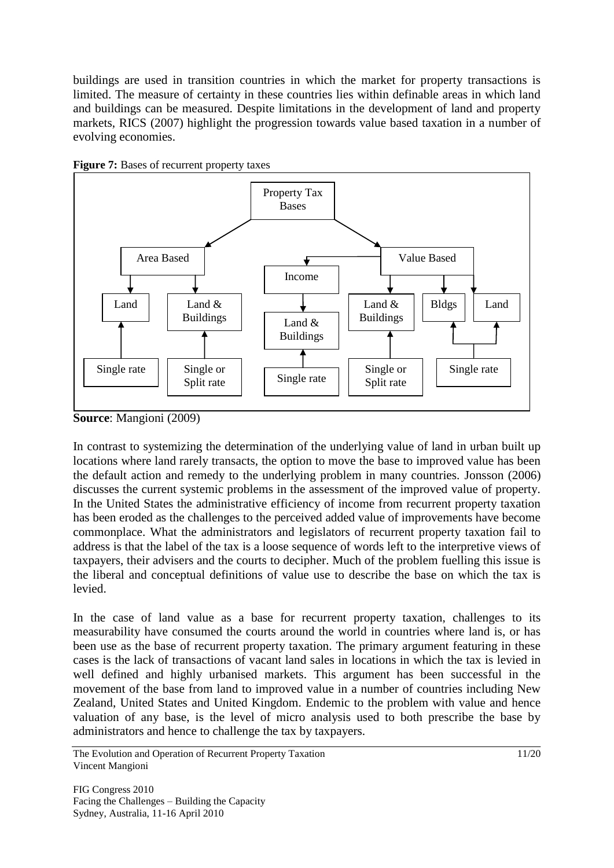buildings are used in transition countries in which the market for property transactions is limited. The measure of certainty in these countries lies within definable areas in which land and buildings can be measured. Despite limitations in the development of land and property markets, RICS (2007) highlight the progression towards value based taxation in a number of evolving economies.



**Figure 7:** Bases of recurrent property taxes

**Source**: Mangioni (2009)

In contrast to systemizing the determination of the underlying value of land in urban built up locations where land rarely transacts, the option to move the base to improved value has been the default action and remedy to the underlying problem in many countries. Jonsson (2006) discusses the current systemic problems in the assessment of the improved value of property. In the United States the administrative efficiency of income from recurrent property taxation has been eroded as the challenges to the perceived added value of improvements have become commonplace. What the administrators and legislators of recurrent property taxation fail to address is that the label of the tax is a loose sequence of words left to the interpretive views of taxpayers, their advisers and the courts to decipher. Much of the problem fuelling this issue is the liberal and conceptual definitions of value use to describe the base on which the tax is levied.

In the case of land value as a base for recurrent property taxation, challenges to its measurability have consumed the courts around the world in countries where land is, or has been use as the base of recurrent property taxation. The primary argument featuring in these cases is the lack of transactions of vacant land sales in locations in which the tax is levied in well defined and highly urbanised markets. This argument has been successful in the movement of the base from land to improved value in a number of countries including New Zealand, United States and United Kingdom. Endemic to the problem with value and hence valuation of any base, is the level of micro analysis used to both prescribe the base by administrators and hence to challenge the tax by taxpayers.

The Evolution and Operation of Recurrent Property Taxation Vincent Mangioni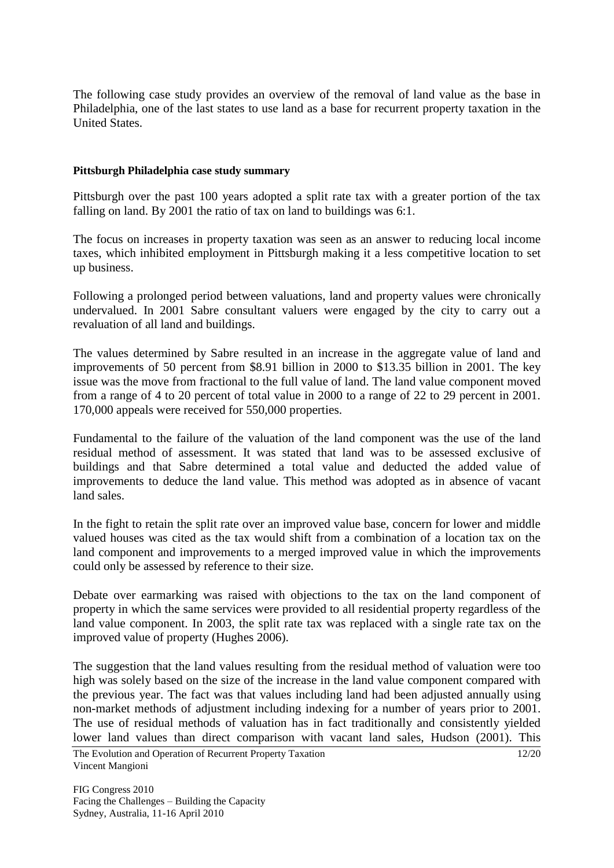The following case study provides an overview of the removal of land value as the base in Philadelphia, one of the last states to use land as a base for recurrent property taxation in the United States.

#### **Pittsburgh Philadelphia case study summary**

Pittsburgh over the past 100 years adopted a split rate tax with a greater portion of the tax falling on land. By 2001 the ratio of tax on land to buildings was 6:1.

The focus on increases in property taxation was seen as an answer to reducing local income taxes, which inhibited employment in Pittsburgh making it a less competitive location to set up business.

Following a prolonged period between valuations, land and property values were chronically undervalued. In 2001 Sabre consultant valuers were engaged by the city to carry out a revaluation of all land and buildings.

The values determined by Sabre resulted in an increase in the aggregate value of land and improvements of 50 percent from \$8.91 billion in 2000 to \$13.35 billion in 2001. The key issue was the move from fractional to the full value of land. The land value component moved from a range of 4 to 20 percent of total value in 2000 to a range of 22 to 29 percent in 2001. 170,000 appeals were received for 550,000 properties.

Fundamental to the failure of the valuation of the land component was the use of the land residual method of assessment. It was stated that land was to be assessed exclusive of buildings and that Sabre determined a total value and deducted the added value of improvements to deduce the land value. This method was adopted as in absence of vacant land sales.

In the fight to retain the split rate over an improved value base, concern for lower and middle valued houses was cited as the tax would shift from a combination of a location tax on the land component and improvements to a merged improved value in which the improvements could only be assessed by reference to their size.

Debate over earmarking was raised with objections to the tax on the land component of property in which the same services were provided to all residential property regardless of the land value component. In 2003, the split rate tax was replaced with a single rate tax on the improved value of property (Hughes 2006).

The suggestion that the land values resulting from the residual method of valuation were too high was solely based on the size of the increase in the land value component compared with the previous year. The fact was that values including land had been adjusted annually using non-market methods of adjustment including indexing for a number of years prior to 2001. The use of residual methods of valuation has in fact traditionally and consistently yielded lower land values than direct comparison with vacant land sales, Hudson (2001). This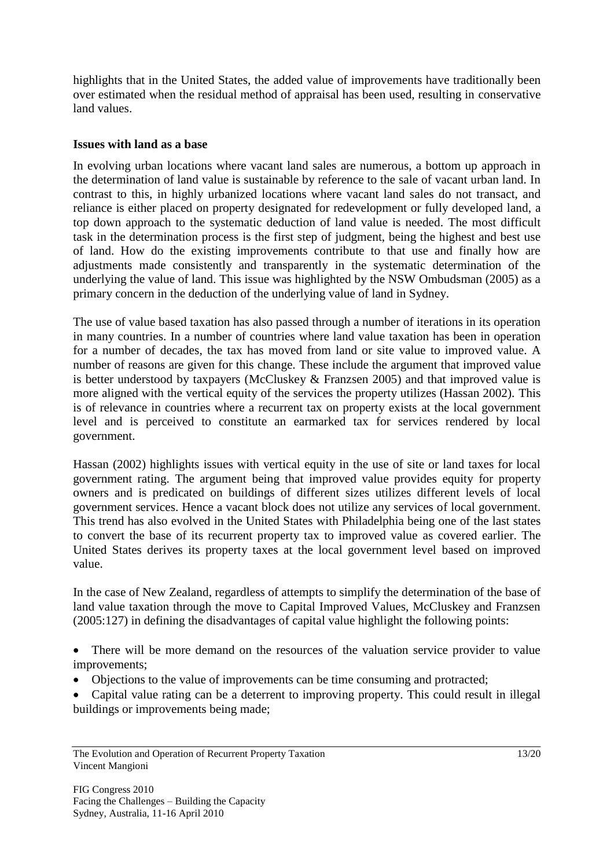highlights that in the United States, the added value of improvements have traditionally been over estimated when the residual method of appraisal has been used, resulting in conservative land values.

#### **Issues with land as a base**

In evolving urban locations where vacant land sales are numerous, a bottom up approach in the determination of land value is sustainable by reference to the sale of vacant urban land. In contrast to this, in highly urbanized locations where vacant land sales do not transact, and reliance is either placed on property designated for redevelopment or fully developed land, a top down approach to the systematic deduction of land value is needed. The most difficult task in the determination process is the first step of judgment, being the highest and best use of land. How do the existing improvements contribute to that use and finally how are adjustments made consistently and transparently in the systematic determination of the underlying the value of land. This issue was highlighted by the NSW Ombudsman (2005) as a primary concern in the deduction of the underlying value of land in Sydney.

The use of value based taxation has also passed through a number of iterations in its operation in many countries. In a number of countries where land value taxation has been in operation for a number of decades, the tax has moved from land or site value to improved value. A number of reasons are given for this change. These include the argument that improved value is better understood by taxpayers (McCluskey & Franzsen 2005) and that improved value is more aligned with the vertical equity of the services the property utilizes (Hassan 2002). This is of relevance in countries where a recurrent tax on property exists at the local government level and is perceived to constitute an earmarked tax for services rendered by local government.

Hassan (2002) highlights issues with vertical equity in the use of site or land taxes for local government rating. The argument being that improved value provides equity for property owners and is predicated on buildings of different sizes utilizes different levels of local government services. Hence a vacant block does not utilize any services of local government. This trend has also evolved in the United States with Philadelphia being one of the last states to convert the base of its recurrent property tax to improved value as covered earlier. The United States derives its property taxes at the local government level based on improved value.

In the case of New Zealand, regardless of attempts to simplify the determination of the base of land value taxation through the move to Capital Improved Values, McCluskey and Franzsen (2005:127) in defining the disadvantages of capital value highlight the following points:

- There will be more demand on the resources of the valuation service provider to value improvements;
- Objections to the value of improvements can be time consuming and protracted;
- Capital value rating can be a deterrent to improving property. This could result in illegal buildings or improvements being made;

The Evolution and Operation of Recurrent Property Taxation Vincent Mangioni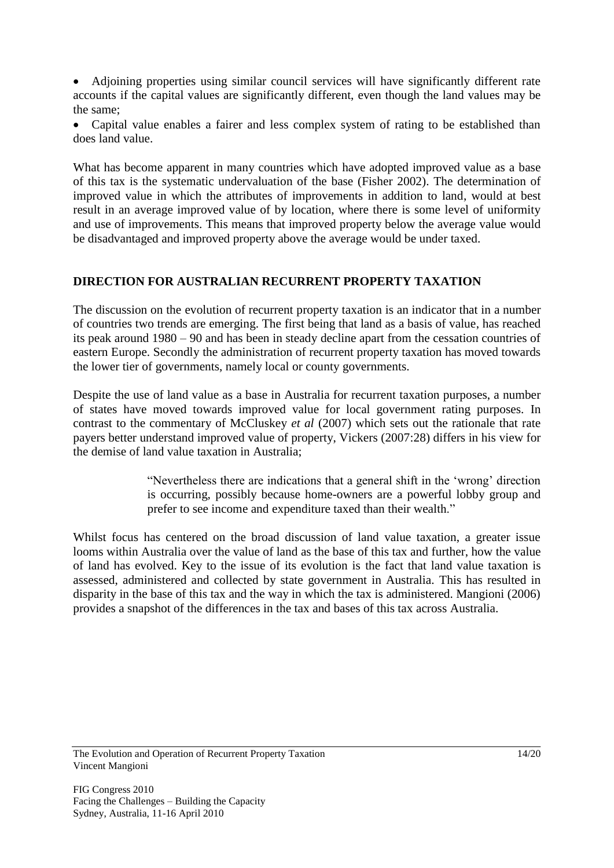Adjoining properties using similar council services will have significantly different rate accounts if the capital values are significantly different, even though the land values may be the same;

• Capital value enables a fairer and less complex system of rating to be established than does land value.

What has become apparent in many countries which have adopted improved value as a base of this tax is the systematic undervaluation of the base (Fisher 2002). The determination of improved value in which the attributes of improvements in addition to land, would at best result in an average improved value of by location, where there is some level of uniformity and use of improvements. This means that improved property below the average value would be disadvantaged and improved property above the average would be under taxed.

# **DIRECTION FOR AUSTRALIAN RECURRENT PROPERTY TAXATION**

The discussion on the evolution of recurrent property taxation is an indicator that in a number of countries two trends are emerging. The first being that land as a basis of value, has reached its peak around 1980 – 90 and has been in steady decline apart from the cessation countries of eastern Europe. Secondly the administration of recurrent property taxation has moved towards the lower tier of governments, namely local or county governments.

Despite the use of land value as a base in Australia for recurrent taxation purposes, a number of states have moved towards improved value for local government rating purposes. In contrast to the commentary of McCluskey *et al* (2007) which sets out the rationale that rate payers better understand improved value of property, Vickers (2007:28) differs in his view for the demise of land value taxation in Australia;

> "Nevertheless there are indications that a general shift in the "wrong" direction is occurring, possibly because home-owners are a powerful lobby group and prefer to see income and expenditure taxed than their wealth."

Whilst focus has centered on the broad discussion of land value taxation, a greater issue looms within Australia over the value of land as the base of this tax and further, how the value of land has evolved. Key to the issue of its evolution is the fact that land value taxation is assessed, administered and collected by state government in Australia. This has resulted in disparity in the base of this tax and the way in which the tax is administered. Mangioni (2006) provides a snapshot of the differences in the tax and bases of this tax across Australia.

The Evolution and Operation of Recurrent Property Taxation Vincent Mangioni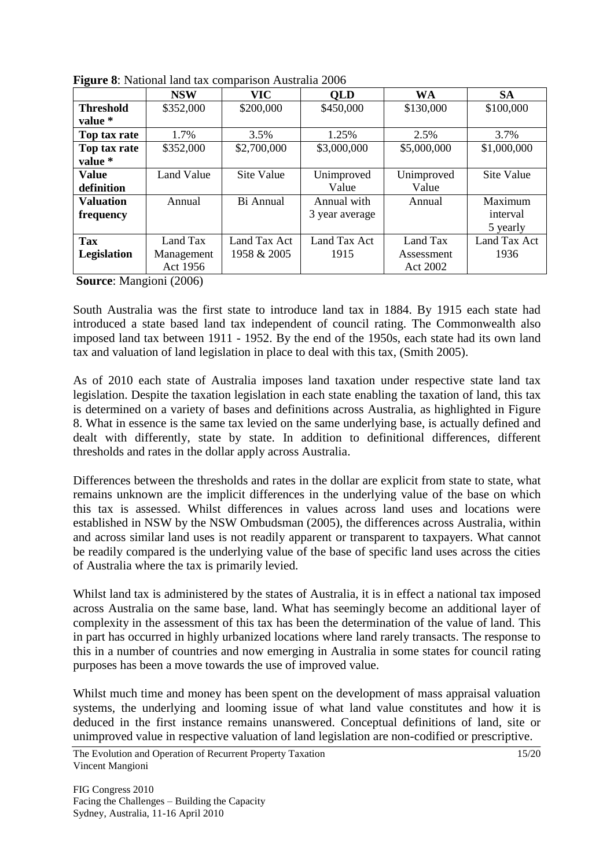|                  | <b>NSW</b> | $\frac{1}{2}$ and $\frac{1}{2}$ are $\frac{1}{2}$ and $\frac{1}{2}$ and $\frac{1}{2}$ are $\frac{1}{2}$ and $\frac{1}{2}$ are $\frac{1}{2}$<br>VIC | <b>OLD</b>     | WA          | <b>SA</b>    |
|------------------|------------|----------------------------------------------------------------------------------------------------------------------------------------------------|----------------|-------------|--------------|
| <b>Threshold</b> | \$352,000  | \$200,000                                                                                                                                          | \$450,000      | \$130,000   | \$100,000    |
| value *          |            |                                                                                                                                                    |                |             |              |
| Top tax rate     | 1.7%       | 3.5%                                                                                                                                               | 1.25%          | 2.5%        | 3.7%         |
| Top tax rate     | \$352,000  | \$2,700,000                                                                                                                                        | \$3,000,000    | \$5,000,000 | \$1,000,000  |
| value *          |            |                                                                                                                                                    |                |             |              |
| <b>Value</b>     | Land Value | Site Value                                                                                                                                         | Unimproved     | Unimproved  | Site Value   |
| definition       |            |                                                                                                                                                    | Value          | Value       |              |
| <b>Valuation</b> | Annual     | Bi Annual                                                                                                                                          | Annual with    | Annual      | Maximum      |
| frequency        |            |                                                                                                                                                    | 3 year average |             | interval     |
|                  |            |                                                                                                                                                    |                |             | 5 yearly     |
| Tax              | Land Tax   | Land Tax Act                                                                                                                                       | Land Tax Act   | Land Tax    | Land Tax Act |
| Legislation      | Management | 1958 & 2005                                                                                                                                        | 1915           | Assessment  | 1936         |
|                  | Act 1956   |                                                                                                                                                    |                | Act 2002    |              |

**Figure 8**: National land tax comparison Australia 2006

**Source**: Mangioni (2006)

South Australia was the first state to introduce land tax in 1884. By 1915 each state had introduced a state based land tax independent of council rating. The Commonwealth also imposed land tax between 1911 - 1952. By the end of the 1950s, each state had its own land tax and valuation of land legislation in place to deal with this tax, (Smith 2005).

As of 2010 each state of Australia imposes land taxation under respective state land tax legislation. Despite the taxation legislation in each state enabling the taxation of land, this tax is determined on a variety of bases and definitions across Australia, as highlighted in Figure 8. What in essence is the same tax levied on the same underlying base, is actually defined and dealt with differently, state by state. In addition to definitional differences, different thresholds and rates in the dollar apply across Australia.

Differences between the thresholds and rates in the dollar are explicit from state to state, what remains unknown are the implicit differences in the underlying value of the base on which this tax is assessed. Whilst differences in values across land uses and locations were established in NSW by the NSW Ombudsman (2005), the differences across Australia, within and across similar land uses is not readily apparent or transparent to taxpayers. What cannot be readily compared is the underlying value of the base of specific land uses across the cities of Australia where the tax is primarily levied.

Whilst land tax is administered by the states of Australia, it is in effect a national tax imposed across Australia on the same base, land. What has seemingly become an additional layer of complexity in the assessment of this tax has been the determination of the value of land. This in part has occurred in highly urbanized locations where land rarely transacts. The response to this in a number of countries and now emerging in Australia in some states for council rating purposes has been a move towards the use of improved value.

Whilst much time and money has been spent on the development of mass appraisal valuation systems, the underlying and looming issue of what land value constitutes and how it is deduced in the first instance remains unanswered. Conceptual definitions of land, site or unimproved value in respective valuation of land legislation are non-codified or prescriptive.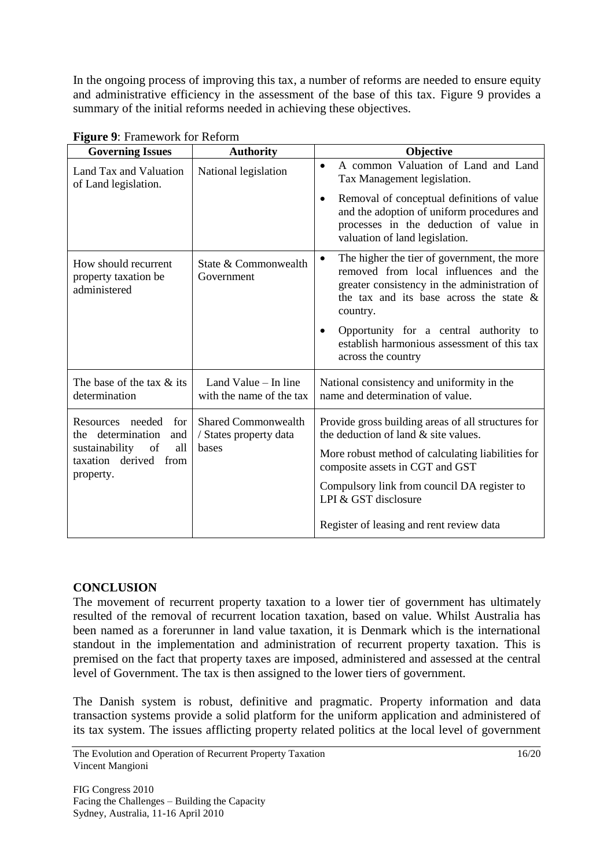In the ongoing process of improving this tax, a number of reforms are needed to ensure equity and administrative efficiency in the assessment of the base of this tax. Figure 9 provides a summary of the initial reforms needed in achieving these objectives.

| $\frac{1}{2}$ $\frac{1}{2}$ $\frac{1}{2}$ $\frac{1}{2}$ $\frac{1}{2}$ $\frac{1}{2}$ $\frac{1}{2}$ $\frac{1}{2}$ $\frac{1}{2}$ $\frac{1}{2}$ $\frac{1}{2}$ $\frac{1}{2}$ $\frac{1}{2}$ $\frac{1}{2}$ $\frac{1}{2}$ $\frac{1}{2}$ $\frac{1}{2}$ $\frac{1}{2}$ $\frac{1}{2}$ $\frac{1}{2}$ $\frac{1}{2}$ $\frac{1}{2}$<br><b>Governing Issues</b> | <b>Authority</b>                                     | Objective                                                                                                                                                                                                   |  |
|------------------------------------------------------------------------------------------------------------------------------------------------------------------------------------------------------------------------------------------------------------------------------------------------------------------------------------------------|------------------------------------------------------|-------------------------------------------------------------------------------------------------------------------------------------------------------------------------------------------------------------|--|
| Land Tax and Valuation<br>of Land legislation.                                                                                                                                                                                                                                                                                                 | National legislation                                 | A common Valuation of Land and Land<br>$\bullet$<br>Tax Management legislation.                                                                                                                             |  |
|                                                                                                                                                                                                                                                                                                                                                |                                                      | Removal of conceptual definitions of value<br>$\bullet$<br>and the adoption of uniform procedures and<br>processes in the deduction of value in<br>valuation of land legislation.                           |  |
| How should recurrent<br>property taxation be<br>administered                                                                                                                                                                                                                                                                                   | State & Commonwealth<br>Government                   | The higher the tier of government, the more<br>$\bullet$<br>removed from local influences and the<br>greater consistency in the administration of<br>the tax and its base across the state $\&$<br>country. |  |
|                                                                                                                                                                                                                                                                                                                                                |                                                      | Opportunity for a central authority to<br>$\bullet$<br>establish harmonious assessment of this tax<br>across the country                                                                                    |  |
| The base of the tax $\&$ its<br>determination                                                                                                                                                                                                                                                                                                  | Land Value – In line<br>with the name of the tax     | National consistency and uniformity in the<br>name and determination of value.                                                                                                                              |  |
| needed<br>Resources<br>for<br>the determination<br>and                                                                                                                                                                                                                                                                                         | <b>Shared Commonwealth</b><br>/ States property data | Provide gross building areas of all structures for<br>the deduction of land $\&$ site values.                                                                                                               |  |
| sustainability<br>of<br>all<br>taxation derived from<br>property.                                                                                                                                                                                                                                                                              | bases                                                | More robust method of calculating liabilities for<br>composite assets in CGT and GST                                                                                                                        |  |
|                                                                                                                                                                                                                                                                                                                                                |                                                      | Compulsory link from council DA register to<br>LPI & GST disclosure                                                                                                                                         |  |
|                                                                                                                                                                                                                                                                                                                                                |                                                      | Register of leasing and rent review data                                                                                                                                                                    |  |

**Figure 9**: Framework for Reform

# **CONCLUSION**

The movement of recurrent property taxation to a lower tier of government has ultimately resulted of the removal of recurrent location taxation, based on value. Whilst Australia has been named as a forerunner in land value taxation, it is Denmark which is the international standout in the implementation and administration of recurrent property taxation. This is premised on the fact that property taxes are imposed, administered and assessed at the central level of Government. The tax is then assigned to the lower tiers of government.

The Danish system is robust, definitive and pragmatic. Property information and data transaction systems provide a solid platform for the uniform application and administered of its tax system. The issues afflicting property related politics at the local level of government

The Evolution and Operation of Recurrent Property Taxation Vincent Mangioni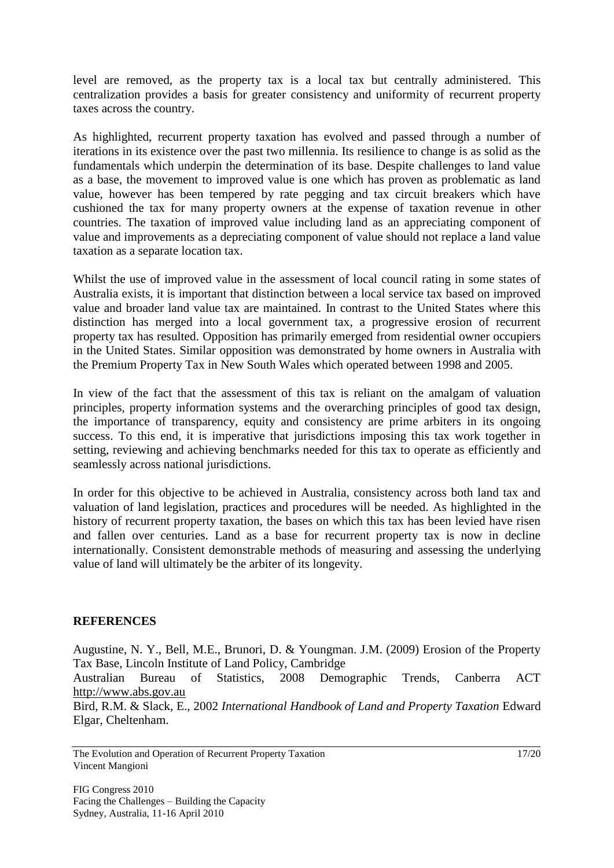level are removed, as the property tax is a local tax but centrally administered. This centralization provides a basis for greater consistency and uniformity of recurrent property taxes across the country.

As highlighted, recurrent property taxation has evolved and passed through a number of iterations in its existence over the past two millennia. Its resilience to change is as solid as the fundamentals which underpin the determination of its base. Despite challenges to land value as a base, the movement to improved value is one which has proven as problematic as land value, however has been tempered by rate pegging and tax circuit breakers which have cushioned the tax for many property owners at the expense of taxation revenue in other countries. The taxation of improved value including land as an appreciating component of value and improvements as a depreciating component of value should not replace a land value taxation as a separate location tax.

Whilst the use of improved value in the assessment of local council rating in some states of Australia exists, it is important that distinction between a local service tax based on improved value and broader land value tax are maintained. In contrast to the United States where this distinction has merged into a local government tax, a progressive erosion of recurrent property tax has resulted. Opposition has primarily emerged from residential owner occupiers in the United States. Similar opposition was demonstrated by home owners in Australia with the Premium Property Tax in New South Wales which operated between 1998 and 2005.

In view of the fact that the assessment of this tax is reliant on the amalgam of valuation principles, property information systems and the overarching principles of good tax design, the importance of transparency, equity and consistency are prime arbiters in its ongoing success. To this end, it is imperative that jurisdictions imposing this tax work together in setting, reviewing and achieving benchmarks needed for this tax to operate as efficiently and seamlessly across national jurisdictions.

In order for this objective to be achieved in Australia, consistency across both land tax and valuation of land legislation, practices and procedures will be needed. As highlighted in the history of recurrent property taxation, the bases on which this tax has been levied have risen and fallen over centuries. Land as a base for recurrent property tax is now in decline internationally. Consistent demonstrable methods of measuring and assessing the underlying value of land will ultimately be the arbiter of its longevity.

#### **REFERENCES**

Augustine, N. Y., Bell, M.E., Brunori, D. & Youngman. J.M. (2009) Erosion of the Property Tax Base, Lincoln Institute of Land Policy, Cambridge

Australian Bureau of Statistics, 2008 Demographic Trends, Canberra ACT [http://www.abs.gov.au](http://www.abs.gov.au/)

Bird, R.M. & Slack, E., 2002 *International Handbook of Land and Property Taxation* Edward Elgar, Cheltenham.

The Evolution and Operation of Recurrent Property Taxation Vincent Mangioni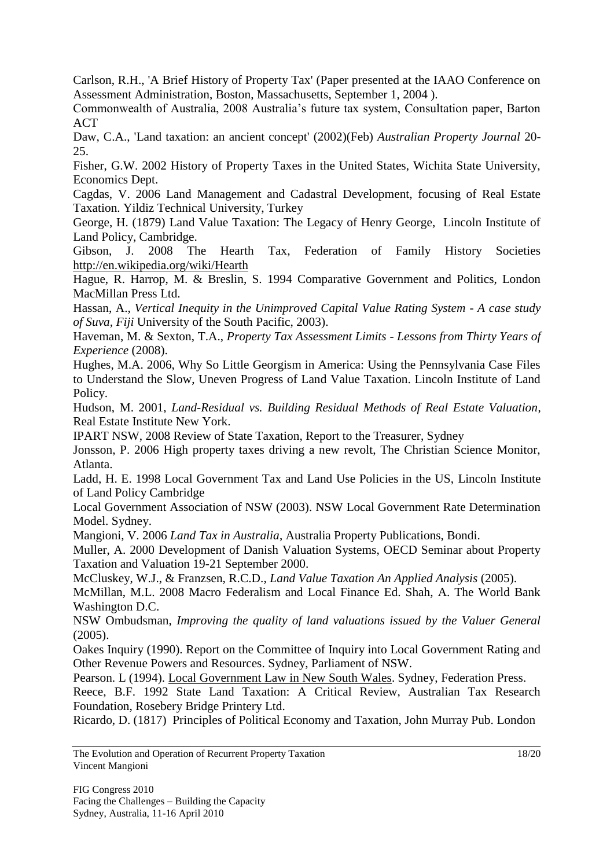Carlson, R.H., 'A Brief History of Property Tax' (Paper presented at the IAAO Conference on Assessment Administration, Boston, Massachusetts, September 1, 2004 ).

Commonwealth of Australia, 2008 Australia"s future tax system, Consultation paper, Barton **ACT** 

Daw, C.A., 'Land taxation: an ancient concept' (2002)(Feb) *Australian Property Journal* 20- 25.

Fisher, G.W. 2002 History of Property Taxes in the United States, Wichita State University, Economics Dept.

Cagdas, V. 2006 Land Management and Cadastral Development, focusing of Real Estate Taxation. Yildiz Technical University, Turkey

George, H. (1879) Land Value Taxation: The Legacy of Henry George, Lincoln Institute of Land Policy, Cambridge.

Gibson, J. 2008 The Hearth Tax, Federation of Family History Societies <http://en.wikipedia.org/wiki/Hearth>

Hague, R. Harrop, M. & Breslin, S. 1994 Comparative Government and Politics, London MacMillan Press Ltd.

Hassan, A., *Vertical Inequity in the Unimproved Capital Value Rating System - A case study of Suva, Fiji* University of the South Pacific, 2003).

Haveman, M. & Sexton, T.A., *Property Tax Assessment Limits - Lessons from Thirty Years of Experience* (2008).

Hughes, M.A. 2006, Why So Little Georgism in America: Using the Pennsylvania Case Files to Understand the Slow, Uneven Progress of Land Value Taxation. Lincoln Institute of Land Policy.

Hudson, M. 2001, *Land-Residual vs. Building Residual Methods of Real Estate Valuation*, Real Estate Institute New York.

IPART NSW, 2008 Review of State Taxation, Report to the Treasurer, Sydney

Jonsson, P. 2006 High property taxes driving a new revolt, The Christian Science Monitor, Atlanta.

Ladd, H. E. 1998 Local Government Tax and Land Use Policies in the US, Lincoln Institute of Land Policy Cambridge

Local Government Association of NSW (2003). NSW Local Government Rate Determination Model. Sydney.

Mangioni, V. 2006 *Land Tax in Australia*, Australia Property Publications, Bondi.

Muller, A. 2000 Development of Danish Valuation Systems, OECD Seminar about Property Taxation and Valuation 19-21 September 2000.

McCluskey, W.J., & Franzsen, R.C.D., *Land Value Taxation An Applied Analysis* (2005).

McMillan, M.L. 2008 Macro Federalism and Local Finance Ed. Shah, A. The World Bank Washington D.C.

NSW Ombudsman, *Improving the quality of land valuations issued by the Valuer General* (2005).

Oakes Inquiry (1990). Report on the Committee of Inquiry into Local Government Rating and Other Revenue Powers and Resources. Sydney, Parliament of NSW.

Pearson. L (1994). Local Government Law in New South Wales. Sydney, Federation Press.

Reece, B.F. 1992 State Land Taxation: A Critical Review, Australian Tax Research Foundation, Rosebery Bridge Printery Ltd.

Ricardo, D. (1817) Principles of Political Economy and Taxation, John Murray Pub. London

The Evolution and Operation of Recurrent Property Taxation Vincent Mangioni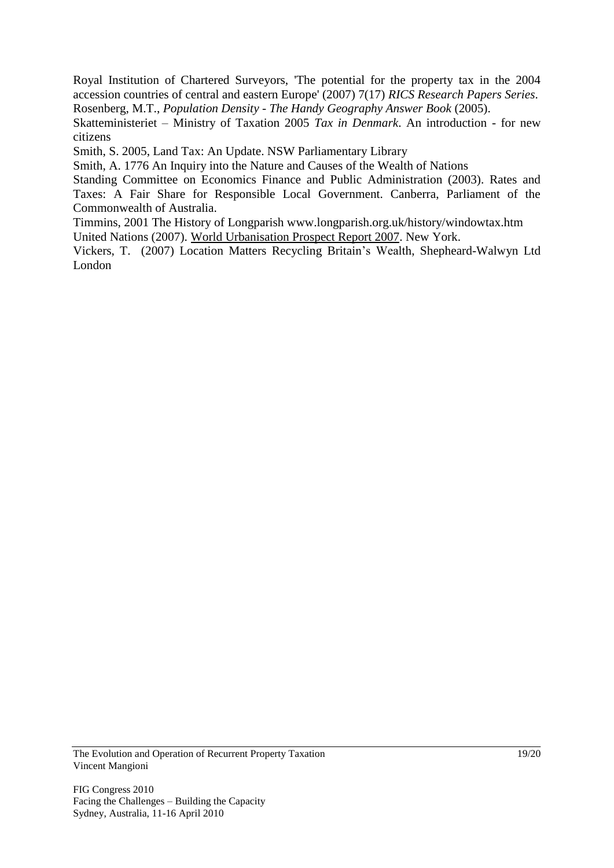Royal Institution of Chartered Surveyors, 'The potential for the property tax in the 2004 accession countries of central and eastern Europe' (2007) 7(17) *RICS Research Papers Series*. Rosenberg, M.T., *Population Density - The Handy Geography Answer Book* (2005).

Skatteministeriet – Ministry of Taxation 2005 *Tax in Denmark*. An introduction - for new citizens

Smith, S. 2005, Land Tax: An Update. NSW Parliamentary Library

Smith, A. 1776 An Inquiry into the Nature and Causes of the Wealth of Nations

Standing Committee on Economics Finance and Public Administration (2003). Rates and Taxes: A Fair Share for Responsible Local Government. Canberra, Parliament of the Commonwealth of Australia.

Timmins, 2001 The History of Longparish www.longparish.org.uk/history/windowtax.htm United Nations (2007). World Urbanisation Prospect Report 2007. New York.

Vickers, T. (2007) Location Matters Recycling Britain"s Wealth, Shepheard-Walwyn Ltd London

The Evolution and Operation of Recurrent Property Taxation Vincent Mangioni